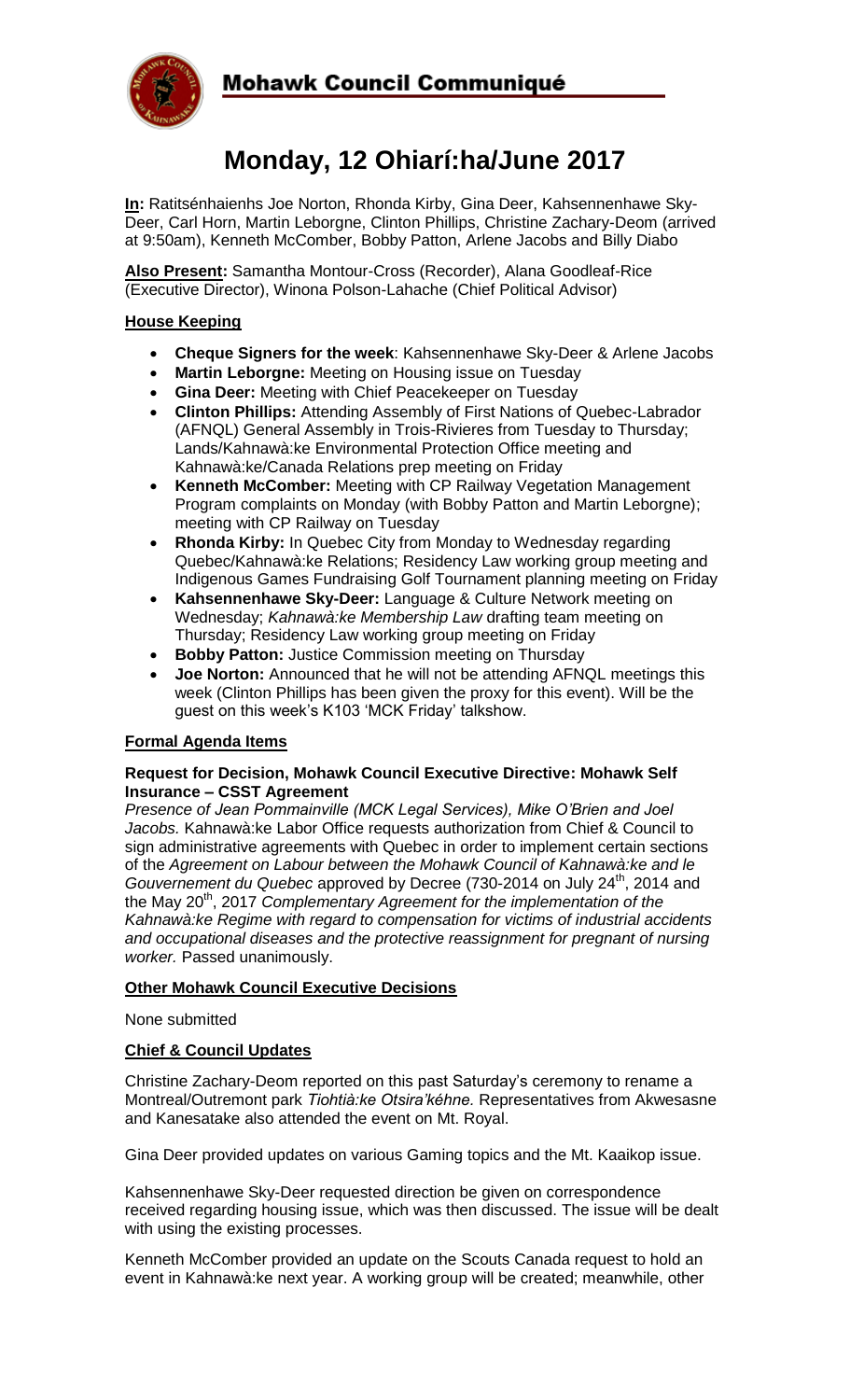

# Mohawk Council Communiqué

# **Monday, 12 Ohiarí:ha/June 2017**

**In:** Ratitsénhaienhs Joe Norton, Rhonda Kirby, Gina Deer, Kahsennenhawe Sky-Deer, Carl Horn, Martin Leborgne, Clinton Phillips, Christine Zachary-Deom (arrived at 9:50am), Kenneth McComber, Bobby Patton, Arlene Jacobs and Billy Diabo

**Also Present:** Samantha Montour-Cross (Recorder), Alana Goodleaf-Rice (Executive Director), Winona Polson-Lahache (Chief Political Advisor)

## **House Keeping**

- **Cheque Signers for the week**: Kahsennenhawe Sky-Deer & Arlene Jacobs
- **Martin Leborgne:** Meeting on Housing issue on Tuesday
- **Gina Deer:** Meeting with Chief Peacekeeper on Tuesday
- **Clinton Phillips:** Attending Assembly of First Nations of Quebec-Labrador (AFNQL) General Assembly in Trois-Rivieres from Tuesday to Thursday; Lands/Kahnawà:ke Environmental Protection Office meeting and Kahnawà:ke/Canada Relations prep meeting on Friday
- **Kenneth McComber:** Meeting with CP Railway Vegetation Management Program complaints on Monday (with Bobby Patton and Martin Leborgne); meeting with CP Railway on Tuesday
- **Rhonda Kirby:** In Quebec City from Monday to Wednesday regarding Quebec/Kahnawà:ke Relations; Residency Law working group meeting and Indigenous Games Fundraising Golf Tournament planning meeting on Friday
- **Kahsennenhawe Sky-Deer:** Language & Culture Network meeting on Wednesday; *Kahnawà:ke Membership Law* drafting team meeting on Thursday; Residency Law working group meeting on Friday
- **Bobby Patton:** Justice Commission meeting on Thursday
- **Joe Norton:** Announced that he will not be attending AFNQL meetings this week (Clinton Phillips has been given the proxy for this event). Will be the guest on this week's K103 'MCK Friday' talkshow.

## **Formal Agenda Items**

#### **Request for Decision, Mohawk Council Executive Directive: Mohawk Self Insurance – CSST Agreement**

*Presence of Jean Pommainville (MCK Legal Services), Mike O'Brien and Joel Jacobs.* Kahnawà:ke Labor Office requests authorization from Chief & Council to sign administrative agreements with Quebec in order to implement certain sections of the *Agreement on Labour between the Mohawk Council of Kahnawà:ke and le Gouvernement du Quebec* approved by Decree (730-2014 on July 24<sup>th</sup>, 2014 and the May 20th, 2017 *Complementary Agreement for the implementation of the Kahnawà:ke Regime with regard to compensation for victims of industrial accidents and occupational diseases and the protective reassignment for pregnant of nursing worker.* Passed unanimously.

#### **Other Mohawk Council Executive Decisions**

None submitted

#### **Chief & Council Updates**

Christine Zachary-Deom reported on this past Saturday's ceremony to rename a Montreal/Outremont park *Tiohtià:ke Otsira'kéhne.* Representatives from Akwesasne and Kanesatake also attended the event on Mt. Royal.

Gina Deer provided updates on various Gaming topics and the Mt. Kaaikop issue.

Kahsennenhawe Sky-Deer requested direction be given on correspondence received regarding housing issue, which was then discussed. The issue will be dealt with using the existing processes.

Kenneth McComber provided an update on the Scouts Canada request to hold an event in Kahnawà:ke next year. A working group will be created; meanwhile, other